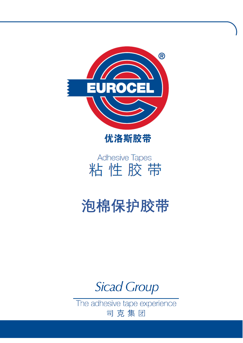



## **Adhesive Tapes** 粘性胶带

# **泡棉保护胶带**

**Sicad Group** 

The adhesive tape experience 司克集团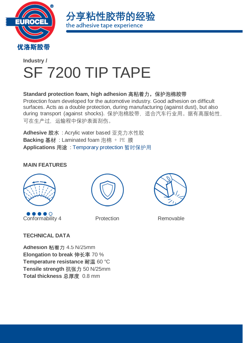



### **[Industry](https://www.eurocel.it/en/products/industry/) /** SF 7200 TIP TAPE

#### **Standard protection foam, high adhesion 高粘着力,保护泡棉胶带**

Protection foam developed for the automotive industry. Good adhesion on difficult surfaces. Acts as a double protection, during manufacturing (against dust), but also during transport (against shocks). 保护泡棉胶带,适合汽车行业用。据有高服帖性, 可在生产过,运输程中保护表面刮伤。

**Adhesive 胶水** : Acrylic water based 亚克力水性胶 **Backing 基材** : Laminated foam 泡棉 + PE 膜 **Applications 用途** : [Temporary protection](https://www.eurocel.it/en/products/industry/applications/temporary-protection/) 暂时保护用

#### **MAIN FEATURES**



**Conformability 4** Protection Removable





#### **TECHNICAL DATA**

**Adhesion 粘着力** 4.5 N/25mm **Elongation to break 伸长率** 70 % **Temperature resistance 耐温** 60 °C **Tensile strength 抗张力** 50 N/25mm **Total thickness 总厚度** 0.8 mm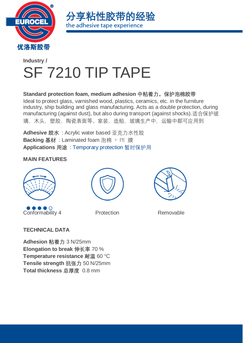



### **[Industry](https://www.eurocel.it/en/products/industry/) /** SF 7210 TIP TAPE

**Standard protection foam, medium adhesion 中粘着力,保护泡棉胶带** Ideal to protect glass, varnished wood, plastics, ceramics, etc. in the furniture industry, ship building and glass manufacturing. Acts as a double protection, during manufacturing (against dust), but also during transport (against shocks).适合保护玻 璃,木头,塑胶,陶瓷表面等。家装,造船,玻璃生产中,运输中都可应用到

**Adhesive 胶水** : Acrylic water based 亚克力水性胶 **Backing 基材** : Laminated foam 泡棉 + PE 膜 **Applications 用途** : [Temporary protection](https://www.eurocel.it/en/products/industry/applications/temporary-protection/) 暂时保护用

#### **MAIN FEATURES**



Conformability 4 Protection Removable





#### **TECHNICAL DATA**

**Adhesion 粘着力** 3 N/25mm **Elongation to break 伸长率** 70 % **Temperature resistance 耐温** 60 °C **Tensile strength 抗张力** 50 N/25mm **Total thickness 总厚度** 0.8 mm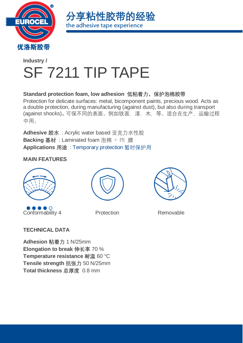



### **[Industry](https://www.eurocel.it/en/products/industry/) /** SF 7211 TIP TAPE

**Standard protection foam, low adhesion 低粘着力,保护泡棉胶带**

Protection for delicate surfaces: metal, bicomponent paints, precious wood. Acts as a double protection, during manufacturing (against dust), but also during transport (against shocks)。可保不同的表面。例如铁面,漆,木,等。适合在生产,运输过程 中用。

**Adhesive 胶水** : Acrylic water based 亚克力水性胶 **Backing 基材** : Laminated foam 泡棉 + PE 膜 **Applications 用途** : [Temporary protection](https://www.eurocel.it/en/products/industry/applications/temporary-protection/) 暂时保护用

#### **MAIN FEATURES**



Conformability 4 Protection Removable





#### **TECHNICAL DATA**

**Adhesion 粘着力** 1 N/25mm **Elongation to break 伸长率** 70 % **Temperature resistance 耐温** 60 °C **Tensile strength 抗张力** 50 N/25mm **Total thickness 总厚度** 0.8 mm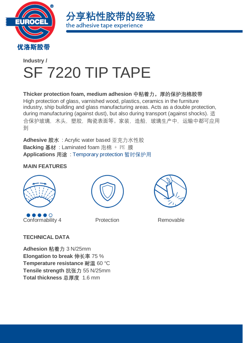



### **[Industry](https://www.eurocel.it/en/products/industry/) /** SF 7220 TIP TAPE

**Thicker protection foam, medium adhesion 中粘着力,厚的保护泡棉胶带** High protection of glass, varnished wood, plastics, ceramics in the furniture industry, ship building and glass manufacturing areas. Acts as a double protection, during manufacturing (against dust), but also during transport (against shocks). 适 合保护玻璃,木头,塑胶,陶瓷表面等。家装,造船,玻璃生产中,运输中都可应用 到

**Adhesive 胶水** : Acrylic water based 亚克力水性胶 **Backing 基材** : Laminated foam 泡棉 + PE 膜 **Applications 用途** : [Temporary protection](https://www.eurocel.it/en/products/industry/applications/temporary-protection/) 暂时保护用

#### **MAIN FEATURES**



●●●●●●<br>Conformability 4 Protection Removable





#### **TECHNICAL DATA**

**Adhesion 粘着力** 3 N/25mm **Elongation to break 伸长率** 75 % **Temperature resistance 耐温** 60 °C **Tensile strength 抗张力** 55 N/25mm **Total thickness 总厚度** 1.6 mm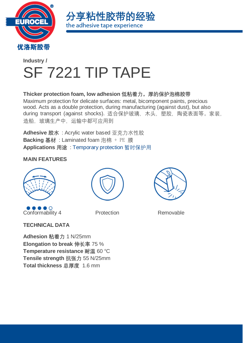



### **[Industry](https://www.eurocel.it/en/products/industry/) /** SF 7221 TIP TAPE

**Thicker protection foam, low adhesion 低粘着力,厚的保护泡棉胶带** Maximum protection for delicate surfaces: metal, bicomponent paints, precious wood. Acts as a double protection, during manufacturing (against dust), but also during transport (against shocks). 适合保护玻璃,木头,塑胶,陶瓷表面等。家装, 造船,玻璃生产中,运输中都可应用到

**Adhesive 胶水** : Acrylic water based 亚克力水性胶 **Backing 基材** : Laminated foam 泡棉 + PE 膜 **Applications 用途** : [Temporary protection](https://www.eurocel.it/en/products/industry/applications/temporary-protection/) 暂时保护用

#### **MAIN FEATURES**



Conformability 4 Protection Removable





**TECHNICAL DATA**

**Adhesion 粘着力** 1 N/25mm **Elongation to break 伸长率** 75 % **Temperature resistance 耐温** 60 °C **Tensile strength 抗张力** 55 N/25mm **Total thickness 总厚度** 1.6 mm